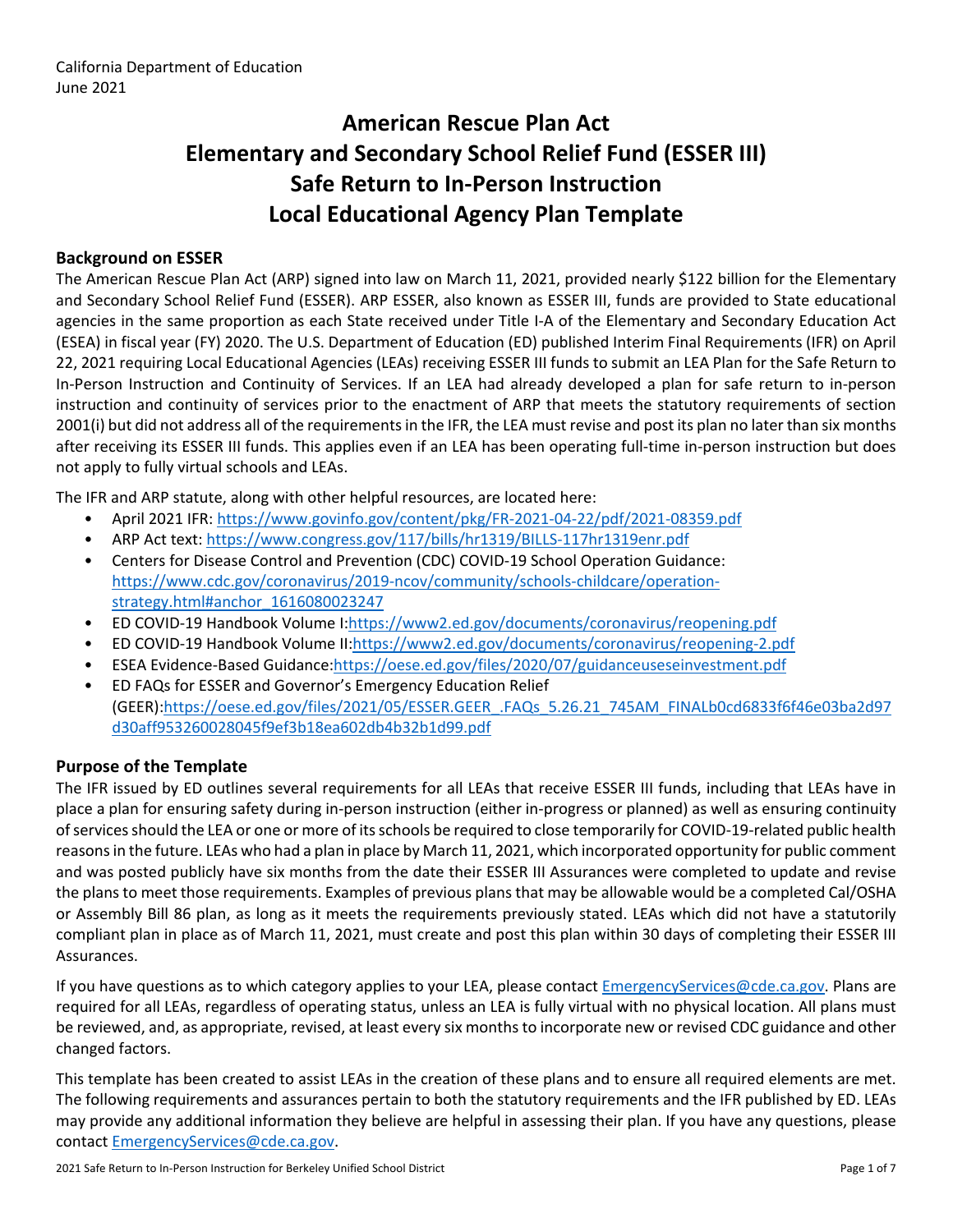# **American Rescue Plan Act Elementary and Secondary School Relief Fund (ESSER III) Safe Return to In-Person Instruction Local Educational Agency Plan Template**

### **Background on ESSER**

The American Rescue Plan Act (ARP) signed into law on March 11, 2021, provided nearly \$122 billion for the Elementary and Secondary School Relief Fund (ESSER). ARP ESSER, also known as ESSER III, funds are provided to State educational agencies in the same proportion as each State received under Title I-A of the Elementary and Secondary Education Act (ESEA) in fiscal year (FY) 2020. The U.S. Department of Education (ED) published Interim Final Requirements (IFR) on April 22, 2021 requiring Local Educational Agencies (LEAs) receiving ESSER III funds to submit an LEA Plan for the Safe Return to In-Person Instruction and Continuity of Services. If an LEA had already developed a plan for safe return to in-person instruction and continuity of services prior to the enactment of ARP that meets the statutory requirements of section 2001(i) but did not address all of the requirements in the IFR, the LEA must revise and post its plan no later than six months after receiving its ESSER III funds. This applies even if an LEA has been operating full-time in-person instruction but does not apply to fully virtual schools and LEAs.

The IFR and ARP statute, along with other helpful resources, are located here:

- April 2021 IFR: <https://www.govinfo.gov/content/pkg/FR-2021-04-22/pdf/2021-08359.pdf>
- ARP Act text: <https://www.congress.gov/117/bills/hr1319/BILLS-117hr1319enr.pdf>
- Centers for Disease Control and Prevention (CDC) COVID-19 School Operation Guidance: [https://www.cdc.gov/coronavirus/2019-ncov/community/schools-childcare/operation](https://www.cdc.gov/coronavirus/2019-ncov/community/schools-childcare/operation-strategy.html#anchor_1616080023247)[strategy.html#anchor\\_1616080023247](https://www.cdc.gov/coronavirus/2019-ncov/community/schools-childcare/operation-strategy.html#anchor_1616080023247)
- ED COVID-19 Handbook Volume I:[https://www2.ed.gov/documents/coronavirus/reopening.pdf](https://www2.ed.gov/documents/coronavirus/reopening.pdf%20)
- ED COVID-19 Handbook Volume II:<https://www2.ed.gov/documents/coronavirus/reopening-2.pdf>
- ESEA Evidence-Based Guidance[:https://oese.ed.gov/files/2020/07/guidanceuseseinvestment.pdf](https://oese.ed.gov/files/2020/07/guidanceuseseinvestment.pdf)
- ED FAQs for ESSER and Governor's Emergency Education Relief (GEER)[:https://oese.ed.gov/files/2021/05/ESSER.GEER\\_.FAQs\\_5.26.21\\_745AM\\_FINALb0cd6833f6f46e03ba2d97](https://oese.ed.gov/files/2021/05/ESSER.GEER_.FAQs_5.26.21_745AM_FINALb0cd6833f6f46e03ba2d97d30aff953260028045f9ef3b18ea602db4b32b1d99.pdf) [d30aff953260028045f9ef3b18ea602db4b32b1d99.pdf](https://oese.ed.gov/files/2021/05/ESSER.GEER_.FAQs_5.26.21_745AM_FINALb0cd6833f6f46e03ba2d97d30aff953260028045f9ef3b18ea602db4b32b1d99.pdf)

### **Purpose of the Template**

The IFR issued by ED outlines several requirements for all LEAs that receive ESSER III funds, including that LEAs have in place a plan for ensuring safety during in-person instruction (either in-progress or planned) as well as ensuring continuity of services should the LEA or one or more of its schools be required to close temporarily for COVID-19-related public health reasons in the future. LEAs who had a plan in place by March 11, 2021, which incorporated opportunity for public comment and was posted publicly have six months from the date their ESSER III Assurances were completed to update and revise the plans to meet those requirements. Examples of previous plans that may be allowable would be a completed Cal/OSHA or Assembly Bill 86 plan, as long as it meets the requirements previously stated. LEAs which did not have a statutorily compliant plan in place as of March 11, 2021, must create and post this plan within 30 days of completing their ESSER III Assurances.

If you have questions as to which category applies to your LEA, please contact [EmergencyServices@cde.ca.gov.](mailto:EmergencyServices@cde.ca.gov) Plans are required for all LEAs, regardless of operating status, unless an LEA is fully virtual with no physical location. All plans must be reviewed, and, as appropriate, revised, at least every six months to incorporate new or revised CDC guidance and other changed factors.

This template has been created to assist LEAs in the creation of these plans and to ensure all required elements are met. The following requirements and assurances pertain to both the statutory requirements and the IFR published by ED. LEAs may provide any additional information they believe are helpful in assessing their plan. If you have any questions, please contact [EmergencyServices@cde.ca.gov.](mailto:EmergencyServices@cde.ca.gov)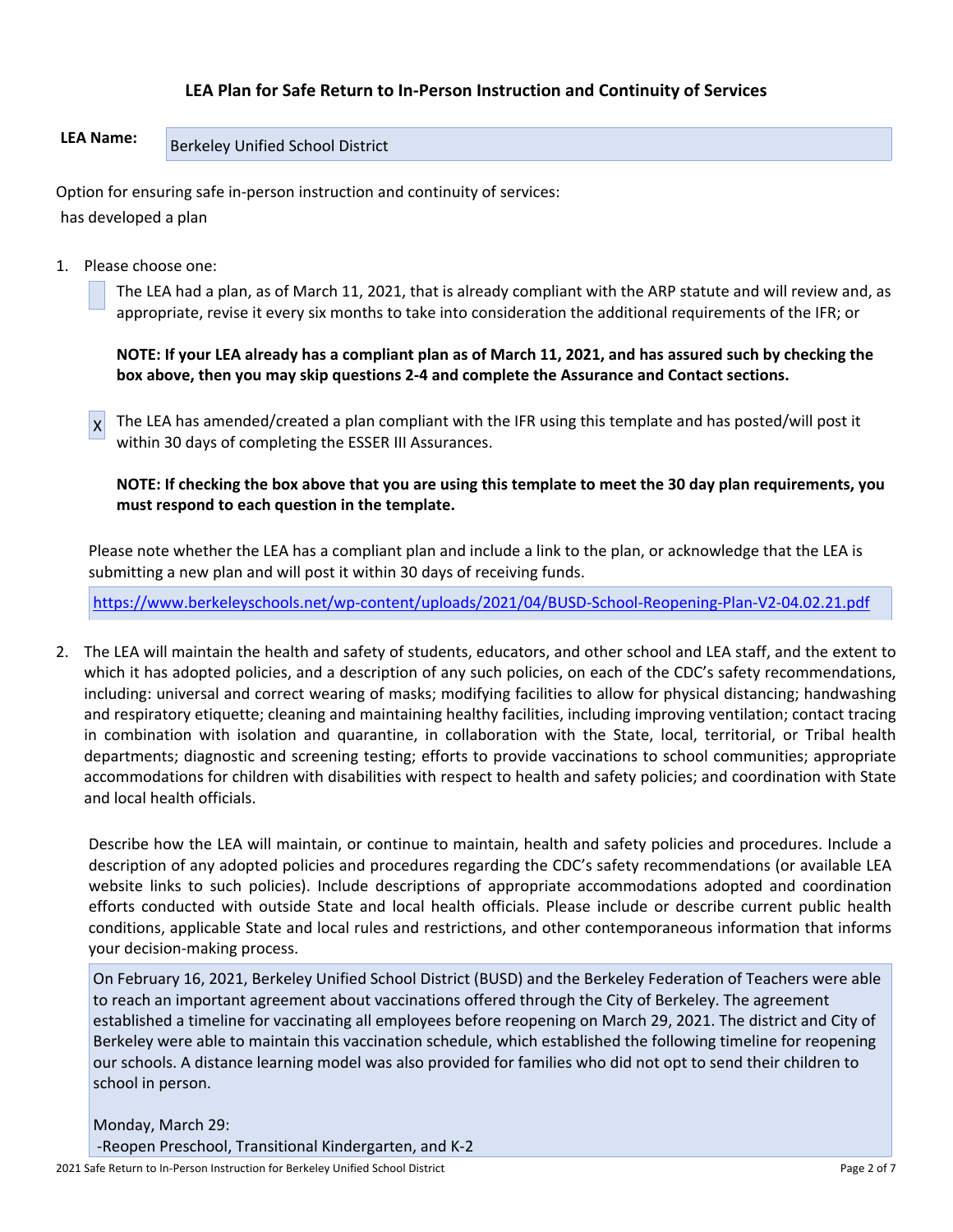### **LEA Plan for Safe Return to In-Person Instruction and Continuity of Services**

## LEA Name: **Berkeley Unified School District**

Option for ensuring safe in-person instruction and continuity of services: has developed a plan

1. Please choose one:

The LEA had a plan, as of March 11, 2021, that is already compliant with the ARP statute and will review and, as appropriate, revise it every six months to take into consideration the additional requirements of the IFR; or

**NOTE: If your LEA already has a compliant plan as of March 11, 2021, and has assured such by checking the box above, then you may skip questions 2-4 and complete the Assurance and Contact sections.**

 $x$  The LEA has amended/created a plan compliant with the IFR using this template and has posted/will post it within 30 days of completing the ESSER III Assurances.

**NOTE: If checking the box above that you are using this template to meet the 30 day plan requirements, you must respond to each question in the template.**

Please note whether the LEA has a compliant plan and include a link to the plan, or acknowledge that the LEA is submitting a new plan and will post it within 30 days of receiving funds.

<https://www.berkeleyschools.net/wp-content/uploads/2021/04/BUSD-School-Reopening-Plan-V2-04.02.21.pdf>

2. The LEA will maintain the health and safety of students, educators, and other school and LEA staff, and the extent to which it has adopted policies, and a description of any such policies, on each of the CDC's safety recommendations, including: universal and correct wearing of masks; modifying facilities to allow for physical distancing; handwashing and respiratory etiquette; cleaning and maintaining healthy facilities, including improving ventilation; contact tracing in combination with isolation and quarantine, in collaboration with the State, local, territorial, or Tribal health departments; diagnostic and screening testing; efforts to provide vaccinations to school communities; appropriate accommodations for children with disabilities with respect to health and safety policies; and coordination with State and local health officials.

Describe how the LEA will maintain, or continue to maintain, health and safety policies and procedures. Include a description of any adopted policies and procedures regarding the CDC's safety recommendations (or available LEA website links to such policies). Include descriptions of appropriate accommodations adopted and coordination efforts conducted with outside State and local health officials. Please include or describe current public health conditions, applicable State and local rules and restrictions, and other contemporaneous information that informs your decision-making process.

On February 16, 2021, Berkeley Unified School District (BUSD) and the Berkeley Federation of Teachers were able to reach an important agreement about vaccinations offered through the City of Berkeley. The agreement established a timeline for vaccinating all employees before reopening on March 29, 2021. The district and City of Berkeley were able to maintain this vaccination schedule, which established the following timeline for reopening our schools. A distance learning model was also provided for families who did not opt to send their children to school in person.

Monday, March 29: -Reopen Preschool, Transitional Kindergarten, and K-2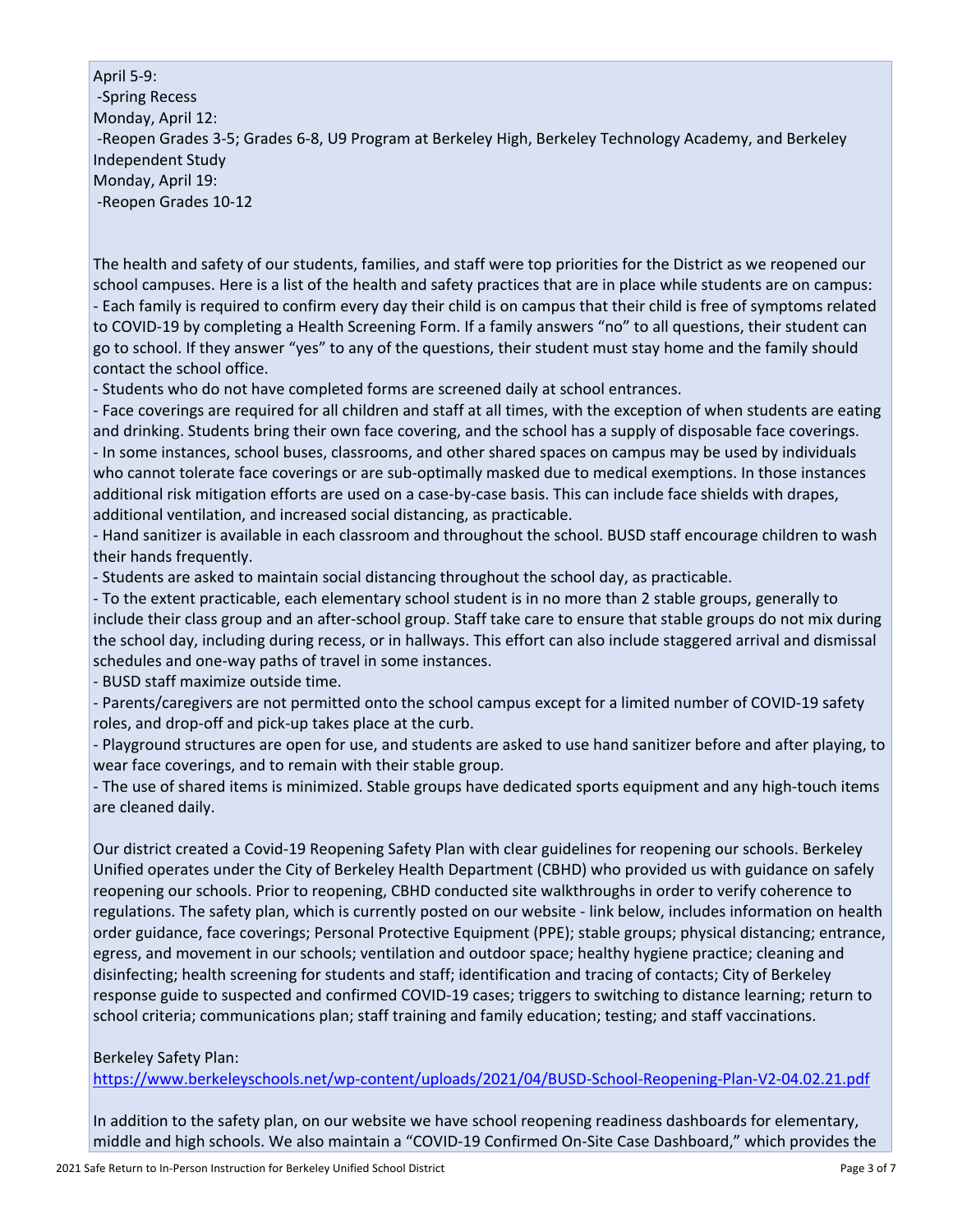April 5-9: -Spring Recess Monday, April 12: -Reopen Grades 3-5; Grades 6-8, U9 Program at Berkeley High, Berkeley Technology Academy, and Berkeley Independent Study Monday, April 19: -Reopen Grades 10-12

The health and safety of our students, families, and staff were top priorities for the District as we reopened our school campuses. Here is a list of the health and safety practices that are in place while students are on campus: - Each family is required to confirm every day their child is on campus that their child is free of symptoms related to COVID-19 by completing a Health Screening Form. If a family answers "no" to all questions, their student can go to school. If they answer "yes" to any of the questions, their student must stay home and the family should contact the school office.

- Students who do not have completed forms are screened daily at school entrances.

- Face coverings are required for all children and staff at all times, with the exception of when students are eating and drinking. Students bring their own face covering, and the school has a supply of disposable face coverings. - In some instances, school buses, classrooms, and other shared spaces on campus may be used by individuals who cannot tolerate face coverings or are sub-optimally masked due to medical exemptions. In those instances additional risk mitigation efforts are used on a case-by-case basis. This can include face shields with drapes, additional ventilation, and increased social distancing, as practicable.

- Hand sanitizer is available in each classroom and throughout the school. BUSD staff encourage children to wash their hands frequently.

- Students are asked to maintain social distancing throughout the school day, as practicable.

- To the extent practicable, each elementary school student is in no more than 2 stable groups, generally to include their class group and an after-school group. Staff take care to ensure that stable groups do not mix during the school day, including during recess, or in hallways. This effort can also include staggered arrival and dismissal schedules and one-way paths of travel in some instances.

- BUSD staff maximize outside time.

- Parents/caregivers are not permitted onto the school campus except for a limited number of COVID-19 safety roles, and drop-off and pick-up takes place at the curb.

- Playground structures are open for use, and students are asked to use hand sanitizer before and after playing, to wear face coverings, and to remain with their stable group.

- The use of shared items is minimized. Stable groups have dedicated sports equipment and any high-touch items are cleaned daily.

Our district created a Covid-19 Reopening Safety Plan with clear guidelines for reopening our schools. Berkeley Unified operates under the City of Berkeley Health Department (CBHD) who provided us with guidance on safely reopening our schools. Prior to reopening, CBHD conducted site walkthroughs in order to verify coherence to regulations. The safety plan, which is currently posted on our website - link below, includes information on health order guidance, face coverings; Personal Protective Equipment (PPE); stable groups; physical distancing; entrance, egress, and movement in our schools; ventilation and outdoor space; healthy hygiene practice; cleaning and disinfecting; health screening for students and staff; identification and tracing of contacts; City of Berkeley response guide to suspected and confirmed COVID-19 cases; triggers to switching to distance learning; return to school criteria; communications plan; staff training and family education; testing; and staff vaccinations.

Berkeley Safety Plan:

<https://www.berkeleyschools.net/wp-content/uploads/2021/04/BUSD-School-Reopening-Plan-V2-04.02.21.pdf>

In addition to the safety plan, on our website we have school reopening readiness dashboards for elementary, middle and high schools. We also maintain a "COVID-19 Confirmed On-Site Case Dashboard," which provides the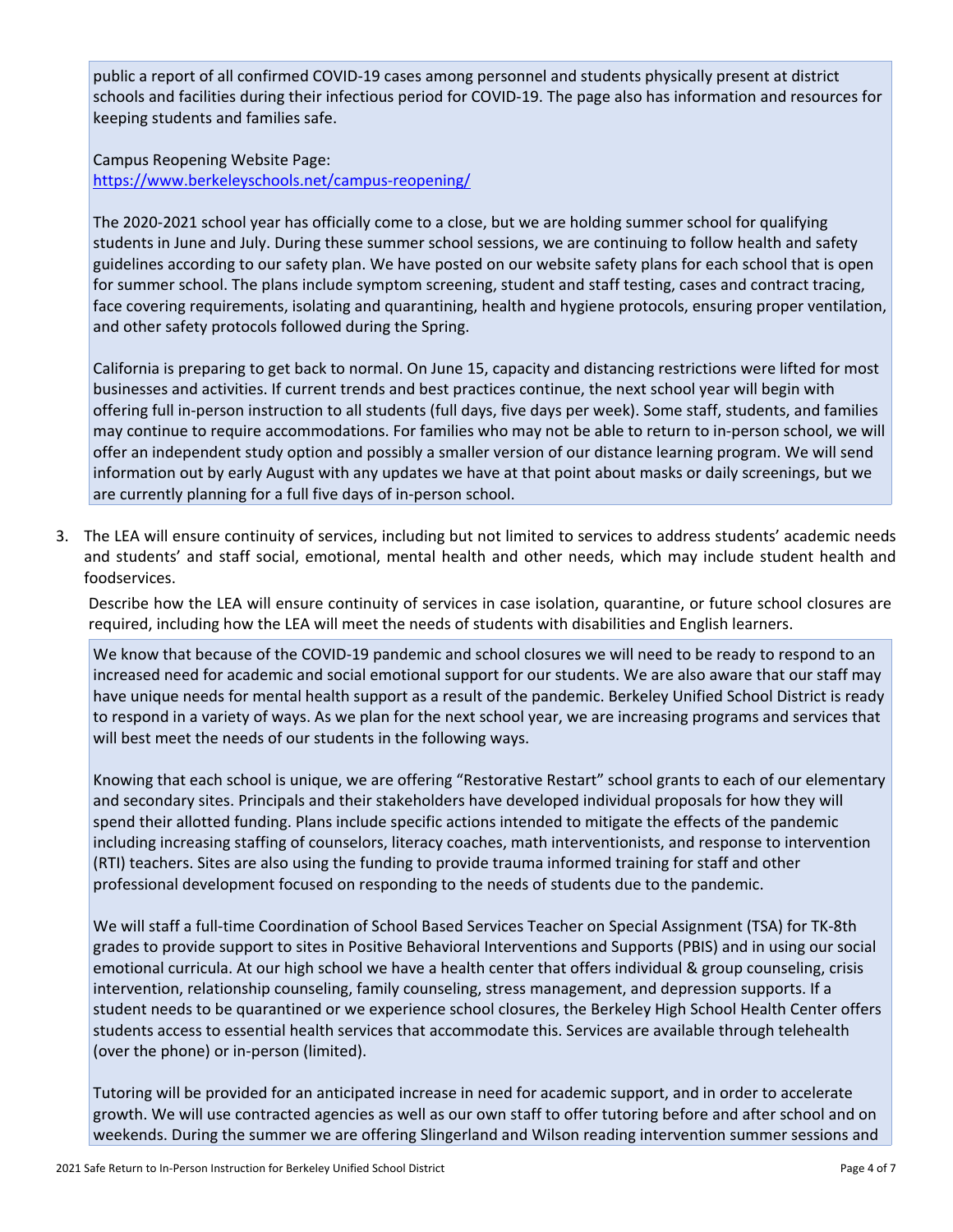public a report of all confirmed COVID-19 cases among personnel and students physically present at district schools and facilities during their infectious period for COVID-19. The page also has information and resources for keeping students and families safe.

Campus Reopening Website Page: <https://www.berkeleyschools.net/campus-reopening/>

The 2020-2021 school year has officially come to a close, but we are holding summer school for qualifying students in June and July. During these summer school sessions, we are continuing to follow health and safety guidelines according to our safety plan. We have posted on our website safety plans for each school that is open for summer school. The plans include symptom screening, student and staff testing, cases and contract tracing, face covering requirements, isolating and quarantining, health and hygiene protocols, ensuring proper ventilation, and other safety protocols followed during the Spring.

California is preparing to get back to normal. On June 15, capacity and distancing restrictions were lifted for most businesses and activities. If current trends and best practices continue, the next school year will begin with offering full in-person instruction to all students (full days, five days per week). Some staff, students, and families may continue to require accommodations. For families who may not be able to return to in-person school, we will offer an independent study option and possibly a smaller version of our distance learning program. We will send information out by early August with any updates we have at that point about masks or daily screenings, but we are currently planning for a full five days of in-person school.

3. The LEA will ensure continuity of services, including but not limited to services to address students' academic needs and students' and staff social, emotional, mental health and other needs, which may include student health and foodservices.

Describe how the LEA will ensure continuity of services in case isolation, quarantine, or future school closures are required, including how the LEA will meet the needs of students with disabilities and English learners.

We know that because of the COVID-19 pandemic and school closures we will need to be ready to respond to an increased need for academic and social emotional support for our students. We are also aware that our staff may have unique needs for mental health support as a result of the pandemic. Berkeley Unified School District is ready to respond in a variety of ways. As we plan for the next school year, we are increasing programs and services that will best meet the needs of our students in the following ways.

Knowing that each school is unique, we are offering "Restorative Restart" school grants to each of our elementary and secondary sites. Principals and their stakeholders have developed individual proposals for how they will spend their allotted funding. Plans include specific actions intended to mitigate the effects of the pandemic including increasing staffing of counselors, literacy coaches, math interventionists, and response to intervention (RTI) teachers. Sites are also using the funding to provide trauma informed training for staff and other professional development focused on responding to the needs of students due to the pandemic.

We will staff a full-time Coordination of School Based Services Teacher on Special Assignment (TSA) for TK-8th grades to provide support to sites in Positive Behavioral Interventions and Supports (PBIS) and in using our social emotional curricula. At our high school we have a health center that offers individual & group counseling, crisis intervention, relationship counseling, family counseling, stress management, and depression supports. If a student needs to be quarantined or we experience school closures, the Berkeley High School Health Center offers students access to essential health services that accommodate this. Services are available through telehealth (over the phone) or in-person (limited).

Tutoring will be provided for an anticipated increase in need for academic support, and in order to accelerate growth. We will use contracted agencies as well as our own staff to offer tutoring before and after school and on weekends. During the summer we are offering Slingerland and Wilson reading intervention summer sessions and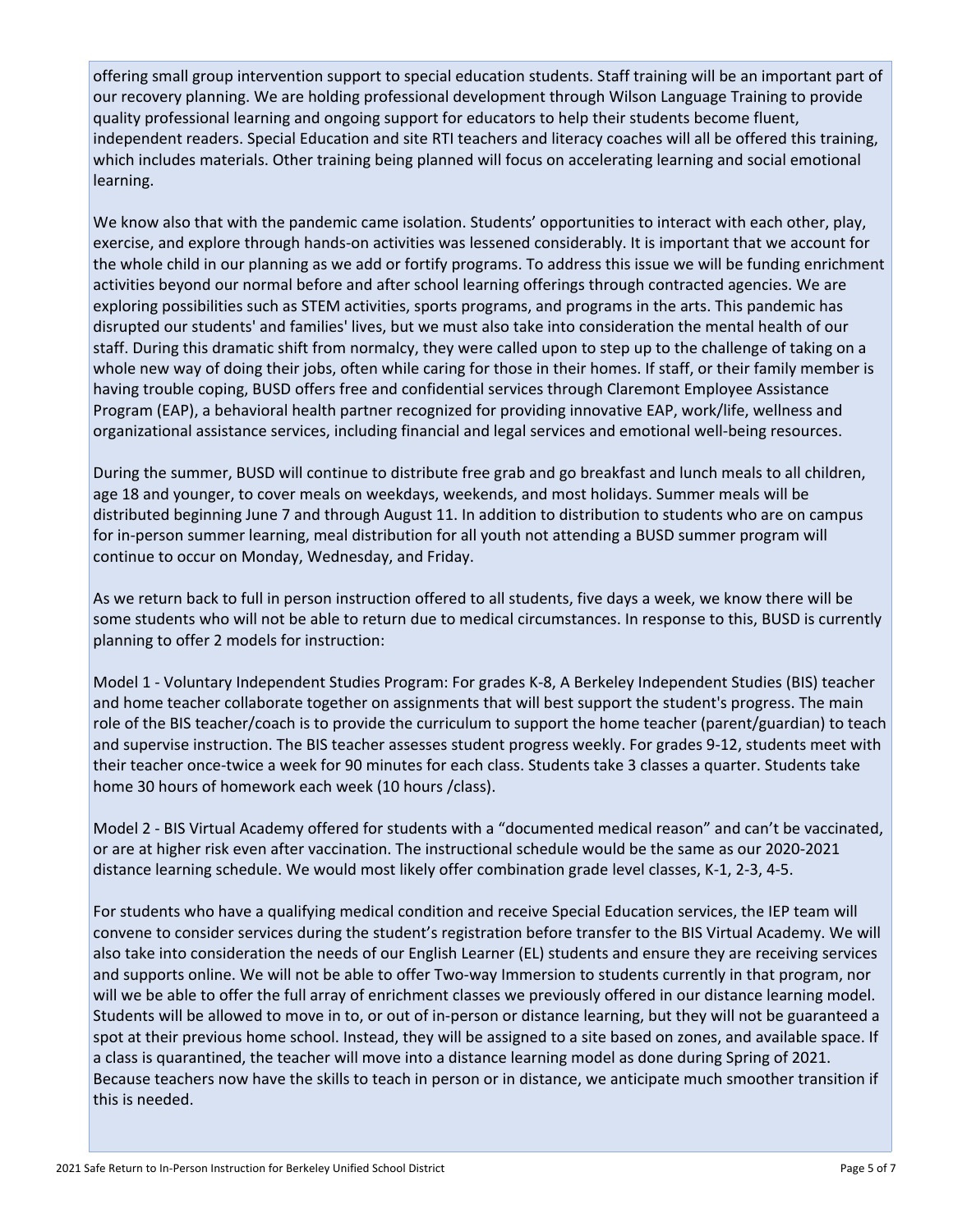offering small group intervention support to special education students. Staff training will be an important part of our recovery planning. We are holding professional development through Wilson Language Training to provide quality professional learning and ongoing support for educators to help their students become fluent, independent readers. Special Education and site RTI teachers and literacy coaches will all be offered this training, which includes materials. Other training being planned will focus on accelerating learning and social emotional learning.

We know also that with the pandemic came isolation. Students' opportunities to interact with each other, play, exercise, and explore through hands-on activities was lessened considerably. It is important that we account for the whole child in our planning as we add or fortify programs. To address this issue we will be funding enrichment activities beyond our normal before and after school learning offerings through contracted agencies. We are exploring possibilities such as STEM activities, sports programs, and programs in the arts. This pandemic has disrupted our students' and families' lives, but we must also take into consideration the mental health of our staff. During this dramatic shift from normalcy, they were called upon to step up to the challenge of taking on a whole new way of doing their jobs, often while caring for those in their homes. If staff, or their family member is having trouble coping, BUSD offers free and confidential services through Claremont Employee Assistance Program (EAP), a behavioral health partner recognized for providing innovative EAP, work/life, wellness and organizational assistance services, including financial and legal services and emotional well-being resources.

During the summer, BUSD will continue to distribute free grab and go breakfast and lunch meals to all children, age 18 and younger, to cover meals on weekdays, weekends, and most holidays. Summer meals will be distributed beginning June 7 and through August 11. In addition to distribution to students who are on campus for in-person summer learning, meal distribution for all youth not attending a BUSD summer program will continue to occur on Monday, Wednesday, and Friday.

As we return back to full in person instruction offered to all students, five days a week, we know there will be some students who will not be able to return due to medical circumstances. In response to this, BUSD is currently planning to offer 2 models for instruction:

Model 1 - Voluntary Independent Studies Program: For grades K-8, A Berkeley Independent Studies (BIS) teacher and home teacher collaborate together on assignments that will best support the student's progress. The main role of the BIS teacher/coach is to provide the curriculum to support the home teacher (parent/guardian) to teach and supervise instruction. The BIS teacher assesses student progress weekly. For grades 9-12, students meet with their teacher once-twice a week for 90 minutes for each class. Students take 3 classes a quarter. Students take home 30 hours of homework each week (10 hours /class).

Model 2 - BIS Virtual Academy offered for students with a "documented medical reason" and can't be vaccinated, or are at higher risk even after vaccination. The instructional schedule would be the same as our 2020-2021 distance learning schedule. We would most likely offer combination grade level classes, K-1, 2-3, 4-5.

For students who have a qualifying medical condition and receive Special Education services, the IEP team will convene to consider services during the student's registration before transfer to the BIS Virtual Academy. We will also take into consideration the needs of our English Learner (EL) students and ensure they are receiving services and supports online. We will not be able to offer Two-way Immersion to students currently in that program, nor will we be able to offer the full array of enrichment classes we previously offered in our distance learning model. Students will be allowed to move in to, or out of in-person or distance learning, but they will not be guaranteed a spot at their previous home school. Instead, they will be assigned to a site based on zones, and available space. If a class is quarantined, the teacher will move into a distance learning model as done during Spring of 2021. Because teachers now have the skills to teach in person or in distance, we anticipate much smoother transition if this is needed.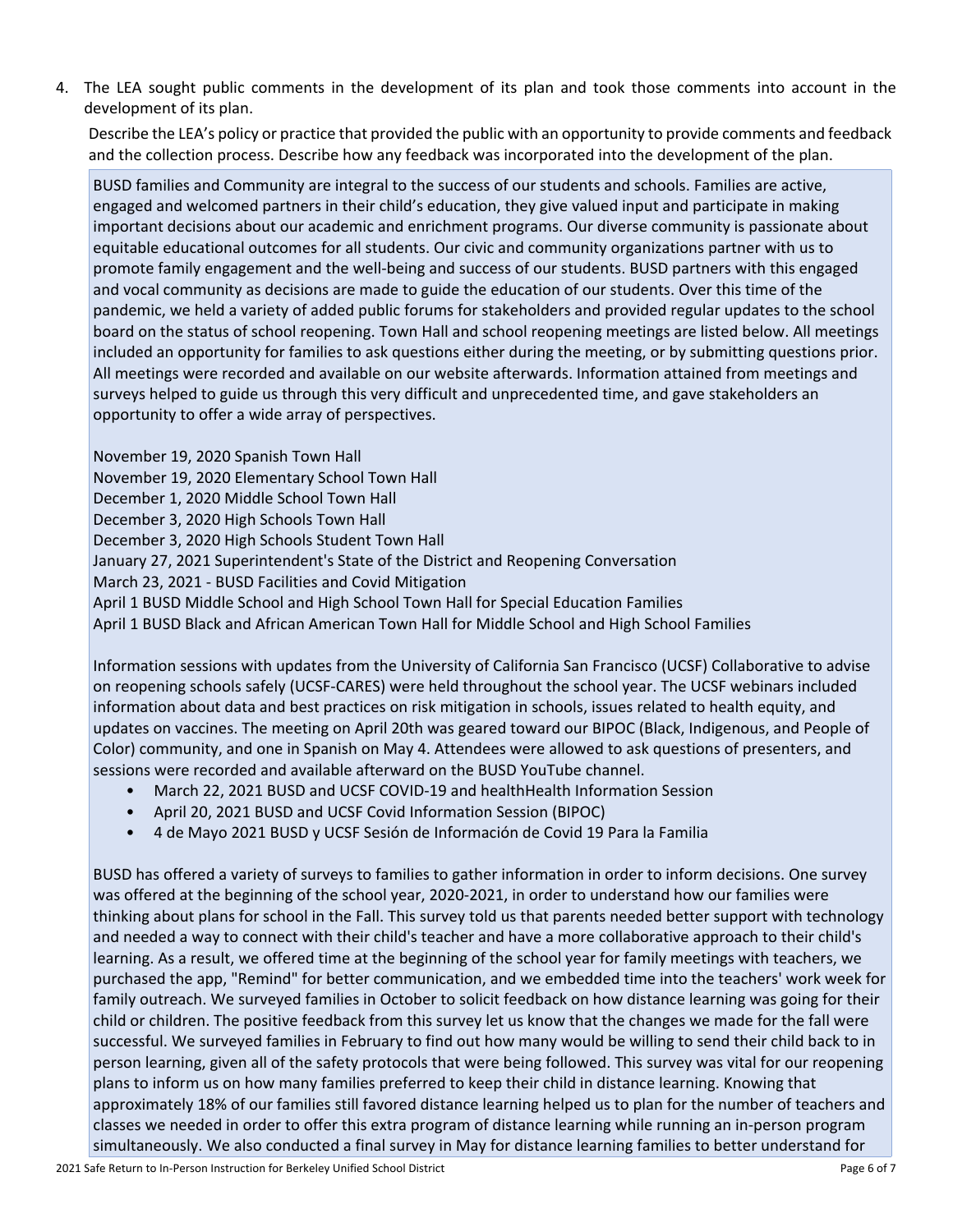4. The LEA sought public comments in the development of its plan and took those comments into account in the development of its plan.

Describe the LEA's policy or practice that provided the public with an opportunity to provide comments and feedback and the collection process. Describe how any feedback was incorporated into the development of the plan.

BUSD families and Community are integral to the success of our students and schools. Families are active, engaged and welcomed partners in their child's education, they give valued input and participate in making important decisions about our academic and enrichment programs. Our diverse community is passionate about equitable educational outcomes for all students. Our civic and community organizations partner with us to promote family engagement and the well-being and success of our students. BUSD partners with this engaged and vocal community as decisions are made to guide the education of our students. Over this time of the pandemic, we held a variety of added public forums for stakeholders and provided regular updates to the school board on the status of school reopening. Town Hall and school reopening meetings are listed below. All meetings included an opportunity for families to ask questions either during the meeting, or by submitting questions prior. All meetings were recorded and available on our website afterwards. Information attained from meetings and surveys helped to guide us through this very difficult and unprecedented time, and gave stakeholders an opportunity to offer a wide array of perspectives.

November 19, 2020 Spanish Town Hall November 19, 2020 Elementary School Town Hall December 1, 2020 Middle School Town Hall December 3, 2020 High Schools Town Hall December 3, 2020 High Schools Student Town Hall January 27, 2021 Superintendent's State of the District and Reopening Conversation March 23, 2021 - BUSD Facilities and Covid Mitigation April 1 BUSD Middle School and High School Town Hall for Special Education Families April 1 BUSD Black and African American Town Hall for Middle School and High School Families

Information sessions with updates from the University of California San Francisco (UCSF) Collaborative to advise on reopening schools safely (UCSF-CARES) were held throughout the school year. The UCSF webinars included information about data and best practices on risk mitigation in schools, issues related to health equity, and updates on vaccines. The meeting on April 20th was geared toward our BIPOC (Black, Indigenous, and People of Color) community, and one in Spanish on May 4. Attendees were allowed to ask questions of presenters, and sessions were recorded and available afterward on the BUSD YouTube channel.

- March 22, 2021 BUSD and UCSF COVID-19 and healthHealth Information Session
- April 20, 2021 BUSD and UCSF Covid Information Session (BIPOC)
- 4 de Mayo 2021 BUSD y UCSF Sesión de Información de Covid 19 Para la Familia

BUSD has offered a variety of surveys to families to gather information in order to inform decisions. One survey was offered at the beginning of the school year, 2020-2021, in order to understand how our families were thinking about plans for school in the Fall. This survey told us that parents needed better support with technology and needed a way to connect with their child's teacher and have a more collaborative approach to their child's learning. As a result, we offered time at the beginning of the school year for family meetings with teachers, we purchased the app, "Remind" for better communication, and we embedded time into the teachers' work week for family outreach. We surveyed families in October to solicit feedback on how distance learning was going for their child or children. The positive feedback from this survey let us know that the changes we made for the fall were successful. We surveyed families in February to find out how many would be willing to send their child back to in person learning, given all of the safety protocols that were being followed. This survey was vital for our reopening plans to inform us on how many families preferred to keep their child in distance learning. Knowing that approximately 18% of our families still favored distance learning helped us to plan for the number of teachers and classes we needed in order to offer this extra program of distance learning while running an in-person program simultaneously. We also conducted a final survey in May for distance learning families to better understand for